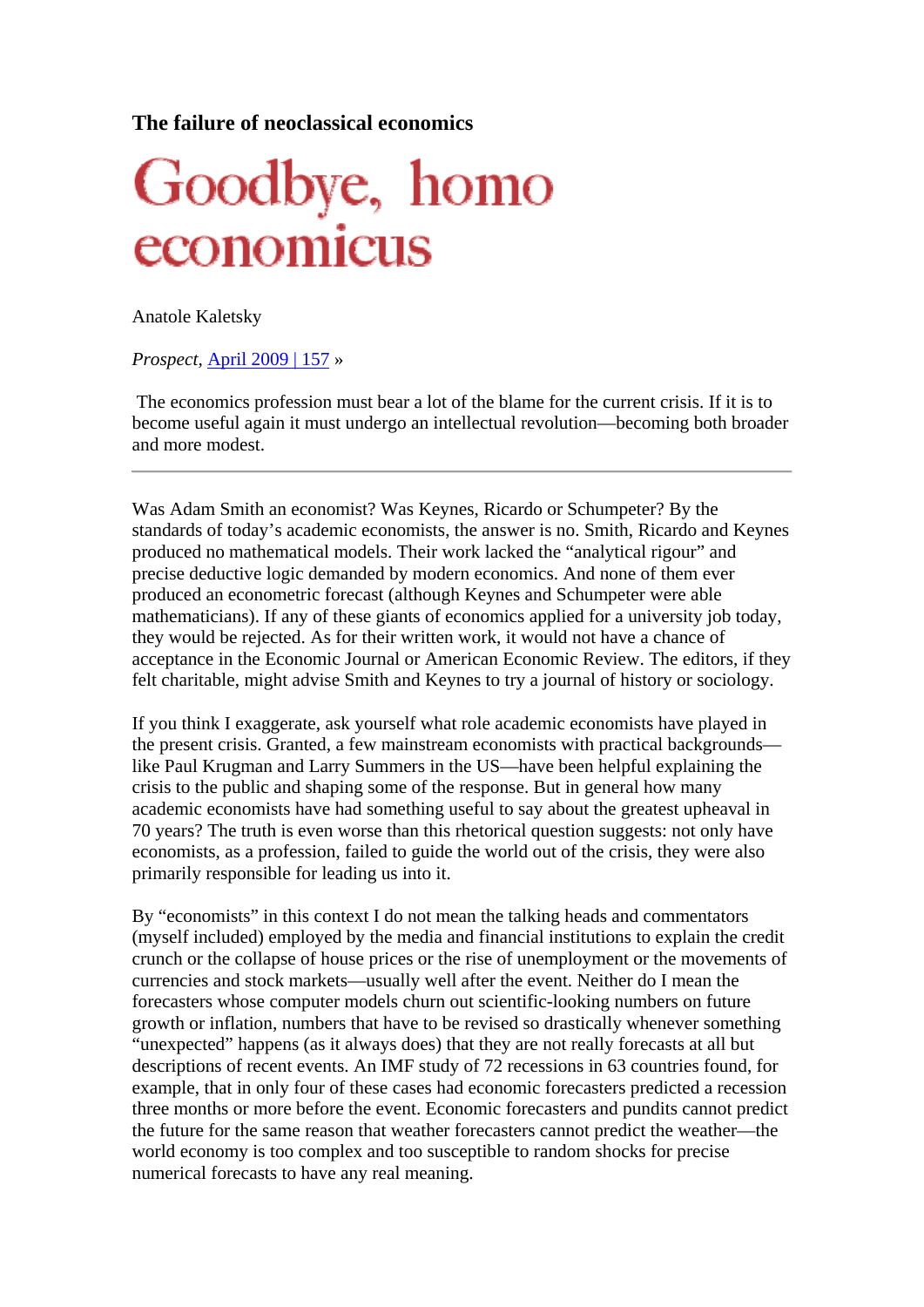## **The failure of neoclassical economics**

## Goodbye, homo economicus

Anatole Kaletsky

*Prospect,* April 2009 | 157 »

 The economics profession must bear a lot of the blame for the current crisis. If it is to become useful again it must undergo an intellectual revolution—becoming both broader and more modest.

Was Adam Smith an economist? Was Keynes, Ricardo or Schumpeter? By the standards of today's academic economists, the answer is no. Smith, Ricardo and Keynes produced no mathematical models. Their work lacked the "analytical rigour" and precise deductive logic demanded by modern economics. And none of them ever produced an econometric forecast (although Keynes and Schumpeter were able mathematicians). If any of these giants of economics applied for a university job today, they would be rejected. As for their written work, it would not have a chance of acceptance in the Economic Journal or American Economic Review. The editors, if they felt charitable, might advise Smith and Keynes to try a journal of history or sociology.

If you think I exaggerate, ask yourself what role academic economists have played in the present crisis. Granted, a few mainstream economists with practical backgrounds like Paul Krugman and Larry Summers in the US—have been helpful explaining the crisis to the public and shaping some of the response. But in general how many academic economists have had something useful to say about the greatest upheaval in 70 years? The truth is even worse than this rhetorical question suggests: not only have economists, as a profession, failed to guide the world out of the crisis, they were also primarily responsible for leading us into it.

By "economists" in this context I do not mean the talking heads and commentators (myself included) employed by the media and financial institutions to explain the credit crunch or the collapse of house prices or the rise of unemployment or the movements of currencies and stock markets—usually well after the event. Neither do I mean the forecasters whose computer models churn out scientific-looking numbers on future growth or inflation, numbers that have to be revised so drastically whenever something "unexpected" happens (as it always does) that they are not really forecasts at all but descriptions of recent events. An IMF study of 72 recessions in 63 countries found, for example, that in only four of these cases had economic forecasters predicted a recession three months or more before the event. Economic forecasters and pundits cannot predict the future for the same reason that weather forecasters cannot predict the weather—the world economy is too complex and too susceptible to random shocks for precise numerical forecasts to have any real meaning.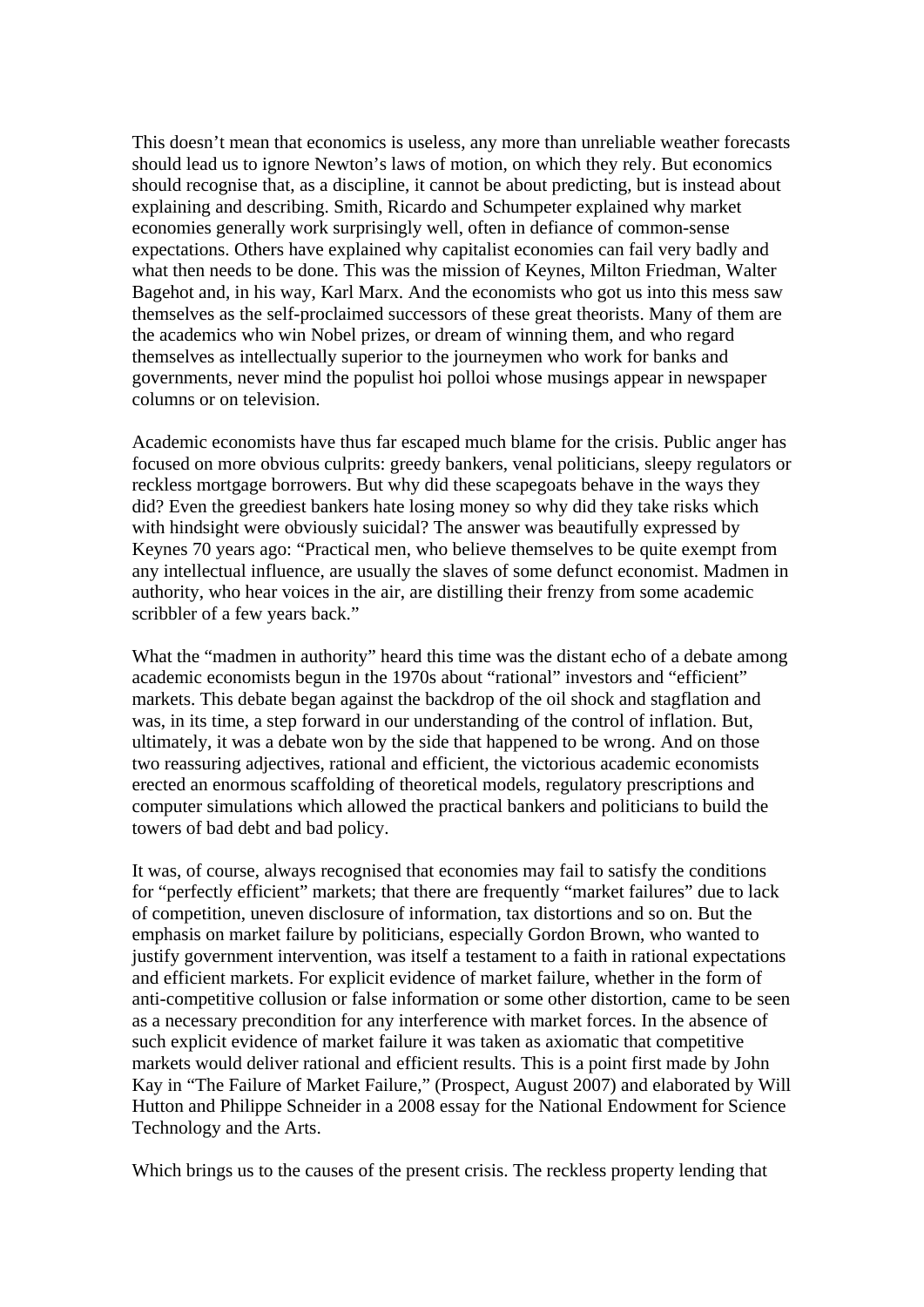This doesn't mean that economics is useless, any more than unreliable weather forecasts should lead us to ignore Newton's laws of motion, on which they rely. But economics should recognise that, as a discipline, it cannot be about predicting, but is instead about explaining and describing. Smith, Ricardo and Schumpeter explained why market economies generally work surprisingly well, often in defiance of common-sense expectations. Others have explained why capitalist economies can fail very badly and what then needs to be done. This was the mission of Keynes, Milton Friedman, Walter Bagehot and, in his way, Karl Marx. And the economists who got us into this mess saw themselves as the self-proclaimed successors of these great theorists. Many of them are the academics who win Nobel prizes, or dream of winning them, and who regard themselves as intellectually superior to the journeymen who work for banks and governments, never mind the populist hoi polloi whose musings appear in newspaper columns or on television.

Academic economists have thus far escaped much blame for the crisis. Public anger has focused on more obvious culprits: greedy bankers, venal politicians, sleepy regulators or reckless mortgage borrowers. But why did these scapegoats behave in the ways they did? Even the greediest bankers hate losing money so why did they take risks which with hindsight were obviously suicidal? The answer was beautifully expressed by Keynes 70 years ago: "Practical men, who believe themselves to be quite exempt from any intellectual influence, are usually the slaves of some defunct economist. Madmen in authority, who hear voices in the air, are distilling their frenzy from some academic scribbler of a few years back."

What the "madmen in authority" heard this time was the distant echo of a debate among academic economists begun in the 1970s about "rational" investors and "efficient" markets. This debate began against the backdrop of the oil shock and stagflation and was, in its time, a step forward in our understanding of the control of inflation. But, ultimately, it was a debate won by the side that happened to be wrong. And on those two reassuring adjectives, rational and efficient, the victorious academic economists erected an enormous scaffolding of theoretical models, regulatory prescriptions and computer simulations which allowed the practical bankers and politicians to build the towers of bad debt and bad policy.

It was, of course, always recognised that economies may fail to satisfy the conditions for "perfectly efficient" markets; that there are frequently "market failures" due to lack of competition, uneven disclosure of information, tax distortions and so on. But the emphasis on market failure by politicians, especially Gordon Brown, who wanted to justify government intervention, was itself a testament to a faith in rational expectations and efficient markets. For explicit evidence of market failure, whether in the form of anti-competitive collusion or false information or some other distortion, came to be seen as a necessary precondition for any interference with market forces. In the absence of such explicit evidence of market failure it was taken as axiomatic that competitive markets would deliver rational and efficient results. This is a point first made by John Kay in "The Failure of Market Failure," (Prospect, August 2007) and elaborated by Will Hutton and Philippe Schneider in a 2008 essay for the National Endowment for Science Technology and the Arts.

Which brings us to the causes of the present crisis. The reckless property lending that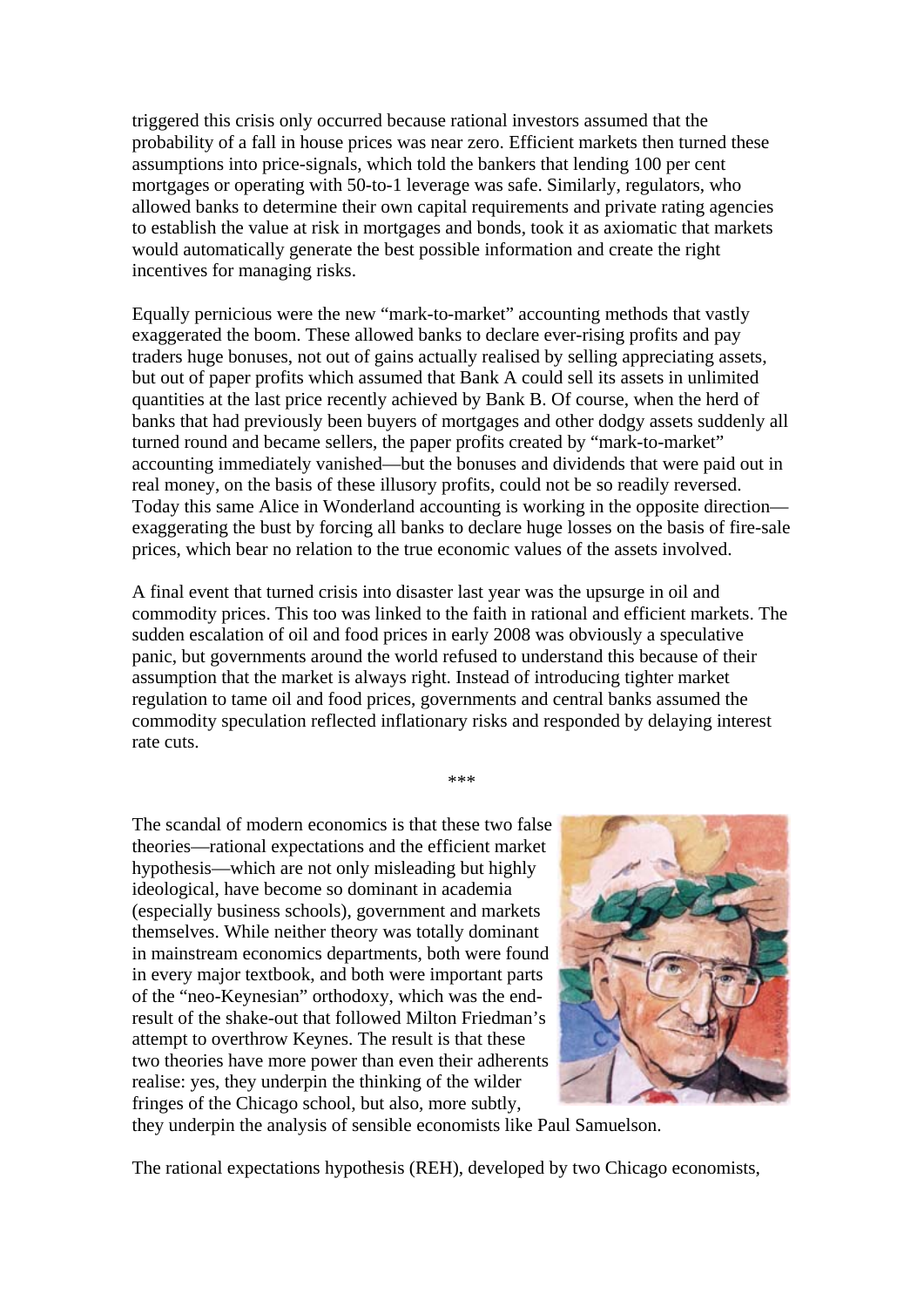triggered this crisis only occurred because rational investors assumed that the probability of a fall in house prices was near zero. Efficient markets then turned these assumptions into price-signals, which told the bankers that lending 100 per cent mortgages or operating with 50-to-1 leverage was safe. Similarly, regulators, who allowed banks to determine their own capital requirements and private rating agencies to establish the value at risk in mortgages and bonds, took it as axiomatic that markets would automatically generate the best possible information and create the right incentives for managing risks.

Equally pernicious were the new "mark-to-market" accounting methods that vastly exaggerated the boom. These allowed banks to declare ever-rising profits and pay traders huge bonuses, not out of gains actually realised by selling appreciating assets, but out of paper profits which assumed that Bank A could sell its assets in unlimited quantities at the last price recently achieved by Bank B. Of course, when the herd of banks that had previously been buyers of mortgages and other dodgy assets suddenly all turned round and became sellers, the paper profits created by "mark-to-market" accounting immediately vanished—but the bonuses and dividends that were paid out in real money, on the basis of these illusory profits, could not be so readily reversed. Today this same Alice in Wonderland accounting is working in the opposite direction exaggerating the bust by forcing all banks to declare huge losses on the basis of fire-sale prices, which bear no relation to the true economic values of the assets involved.

A final event that turned crisis into disaster last year was the upsurge in oil and commodity prices. This too was linked to the faith in rational and efficient markets. The sudden escalation of oil and food prices in early 2008 was obviously a speculative panic, but governments around the world refused to understand this because of their assumption that the market is always right. Instead of introducing tighter market regulation to tame oil and food prices, governments and central banks assumed the commodity speculation reflected inflationary risks and responded by delaying interest rate cuts.

\*\*\*

The scandal of modern economics is that these two false theories—rational expectations and the efficient market hypothesis—which are not only misleading but highly ideological, have become so dominant in academia (especially business schools), government and markets themselves. While neither theory was totally dominant in mainstream economics departments, both were found in every major textbook, and both were important parts of the "neo-Keynesian" orthodoxy, which was the endresult of the shake-out that followed Milton Friedman's attempt to overthrow Keynes. The result is that these two theories have more power than even their adherents realise: yes, they underpin the thinking of the wilder fringes of the Chicago school, but also, more subtly,



they underpin the analysis of sensible economists like Paul Samuelson.

The rational expectations hypothesis (REH), developed by two Chicago economists,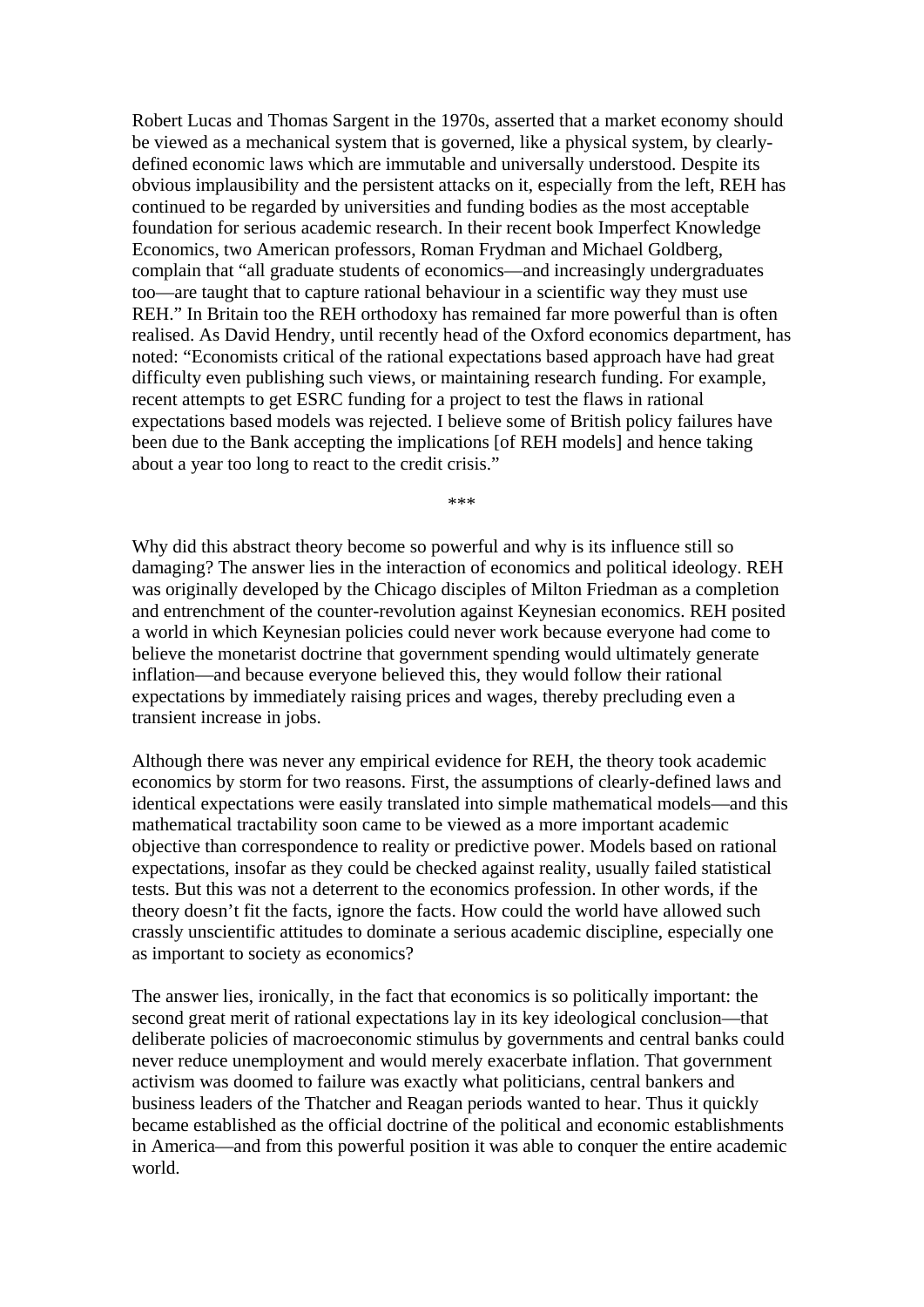Robert Lucas and Thomas Sargent in the 1970s, asserted that a market economy should be viewed as a mechanical system that is governed, like a physical system, by clearlydefined economic laws which are immutable and universally understood. Despite its obvious implausibility and the persistent attacks on it, especially from the left, REH has continued to be regarded by universities and funding bodies as the most acceptable foundation for serious academic research. In their recent book Imperfect Knowledge Economics, two American professors, Roman Frydman and Michael Goldberg, complain that "all graduate students of economics—and increasingly undergraduates too—are taught that to capture rational behaviour in a scientific way they must use REH." In Britain too the REH orthodoxy has remained far more powerful than is often realised. As David Hendry, until recently head of the Oxford economics department, has noted: "Economists critical of the rational expectations based approach have had great difficulty even publishing such views, or maintaining research funding. For example, recent attempts to get ESRC funding for a project to test the flaws in rational expectations based models was rejected. I believe some of British policy failures have been due to the Bank accepting the implications [of REH models] and hence taking about a year too long to react to the credit crisis."

\*\*\*

Why did this abstract theory become so powerful and why is its influence still so damaging? The answer lies in the interaction of economics and political ideology. REH was originally developed by the Chicago disciples of Milton Friedman as a completion and entrenchment of the counter-revolution against Keynesian economics. REH posited a world in which Keynesian policies could never work because everyone had come to believe the monetarist doctrine that government spending would ultimately generate inflation—and because everyone believed this, they would follow their rational expectations by immediately raising prices and wages, thereby precluding even a transient increase in jobs.

Although there was never any empirical evidence for REH, the theory took academic economics by storm for two reasons. First, the assumptions of clearly-defined laws and identical expectations were easily translated into simple mathematical models—and this mathematical tractability soon came to be viewed as a more important academic objective than correspondence to reality or predictive power. Models based on rational expectations, insofar as they could be checked against reality, usually failed statistical tests. But this was not a deterrent to the economics profession. In other words, if the theory doesn't fit the facts, ignore the facts. How could the world have allowed such crassly unscientific attitudes to dominate a serious academic discipline, especially one as important to society as economics?

The answer lies, ironically, in the fact that economics is so politically important: the second great merit of rational expectations lay in its key ideological conclusion—that deliberate policies of macroeconomic stimulus by governments and central banks could never reduce unemployment and would merely exacerbate inflation. That government activism was doomed to failure was exactly what politicians, central bankers and business leaders of the Thatcher and Reagan periods wanted to hear. Thus it quickly became established as the official doctrine of the political and economic establishments in America—and from this powerful position it was able to conquer the entire academic world.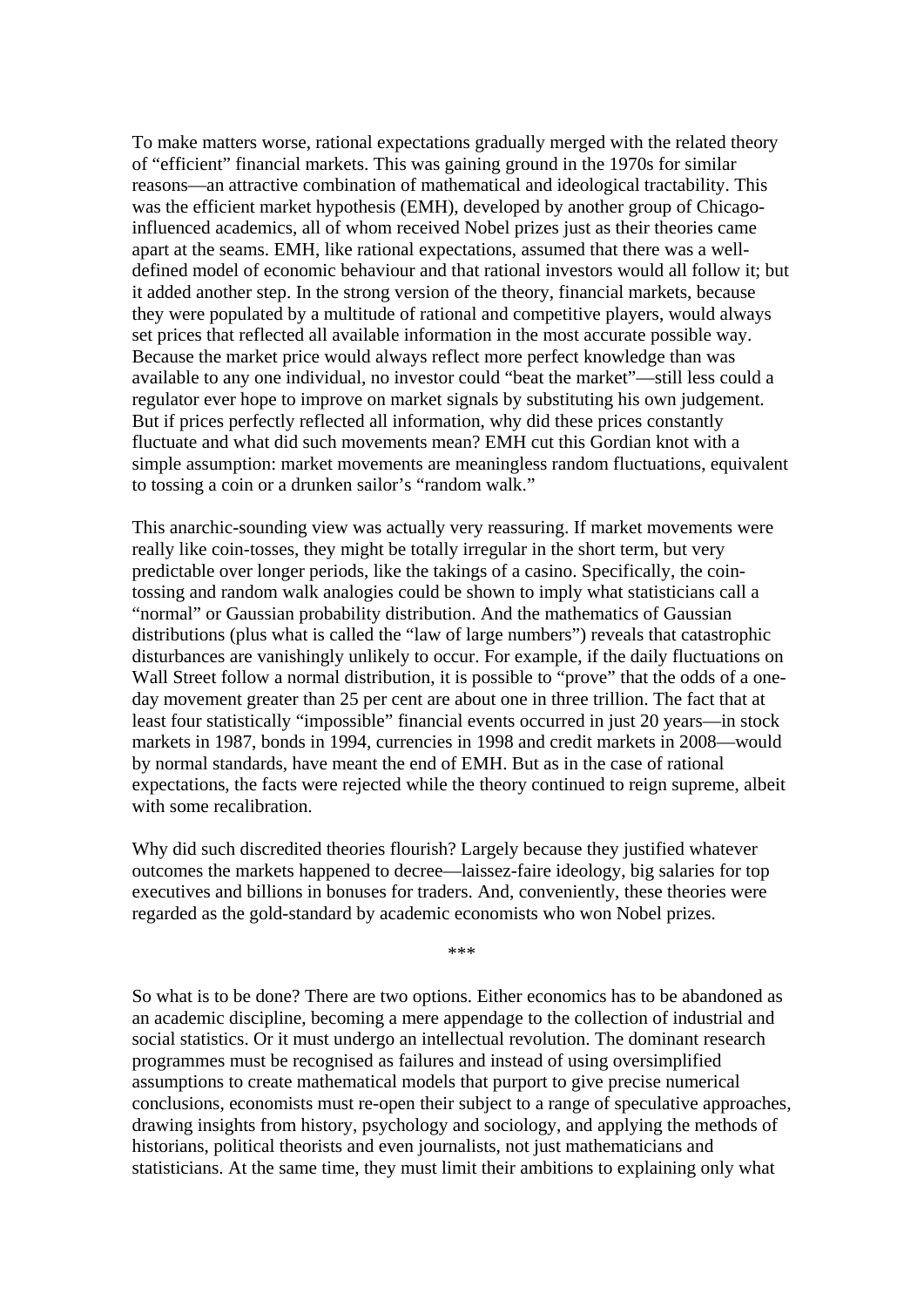To make matters worse, rational expectations gradually merged with the related theory of "efficient" financial markets. This was gaining ground in the 1970s for similar reasons—an attractive combination of mathematical and ideological tractability. This was the efficient market hypothesis (EMH), developed by another group of Chicagoinfluenced academics, all of whom received Nobel prizes just as their theories came apart at the seams. EMH, like rational expectations, assumed that there was a welldefined model of economic behaviour and that rational investors would all follow it; but it added another step. In the strong version of the theory, financial markets, because they were populated by a multitude of rational and competitive players, would always set prices that reflected all available information in the most accurate possible way. Because the market price would always reflect more perfect knowledge than was available to any one individual, no investor could "beat the market"—still less could a regulator ever hope to improve on market signals by substituting his own judgement. But if prices perfectly reflected all information, why did these prices constantly fluctuate and what did such movements mean? EMH cut this Gordian knot with a simple assumption: market movements are meaningless random fluctuations, equivalent to tossing a coin or a drunken sailor's "random walk."

This anarchic-sounding view was actually very reassuring. If market movements were really like coin-tosses, they might be totally irregular in the short term, but very predictable over longer periods, like the takings of a casino. Specifically, the cointossing and random walk analogies could be shown to imply what statisticians call a "normal" or Gaussian probability distribution. And the mathematics of Gaussian distributions (plus what is called the "law of large numbers") reveals that catastrophic disturbances are vanishingly unlikely to occur. For example, if the daily fluctuations on Wall Street follow a normal distribution, it is possible to "prove" that the odds of a oneday movement greater than 25 per cent are about one in three trillion. The fact that at least four statistically "impossible" financial events occurred in just 20 years—in stock markets in 1987, bonds in 1994, currencies in 1998 and credit markets in 2008—would by normal standards, have meant the end of EMH. But as in the case of rational expectations, the facts were rejected while the theory continued to reign supreme, albeit with some recalibration.

Why did such discredited theories flourish? Largely because they justified whatever outcomes the markets happened to decree—laissez-faire ideology, big salaries for top executives and billions in bonuses for traders. And, conveniently, these theories were regarded as the gold-standard by academic economists who won Nobel prizes.

\*\*\*

So what is to be done? There are two options. Either economics has to be abandoned as an academic discipline, becoming a mere appendage to the collection of industrial and social statistics. Or it must undergo an intellectual revolution. The dominant research programmes must be recognised as failures and instead of using oversimplified assumptions to create mathematical models that purport to give precise numerical conclusions, economists must re-open their subject to a range of speculative approaches, drawing insights from history, psychology and sociology, and applying the methods of historians, political theorists and even journalists, not just mathematicians and statisticians. At the same time, they must limit their ambitions to explaining only what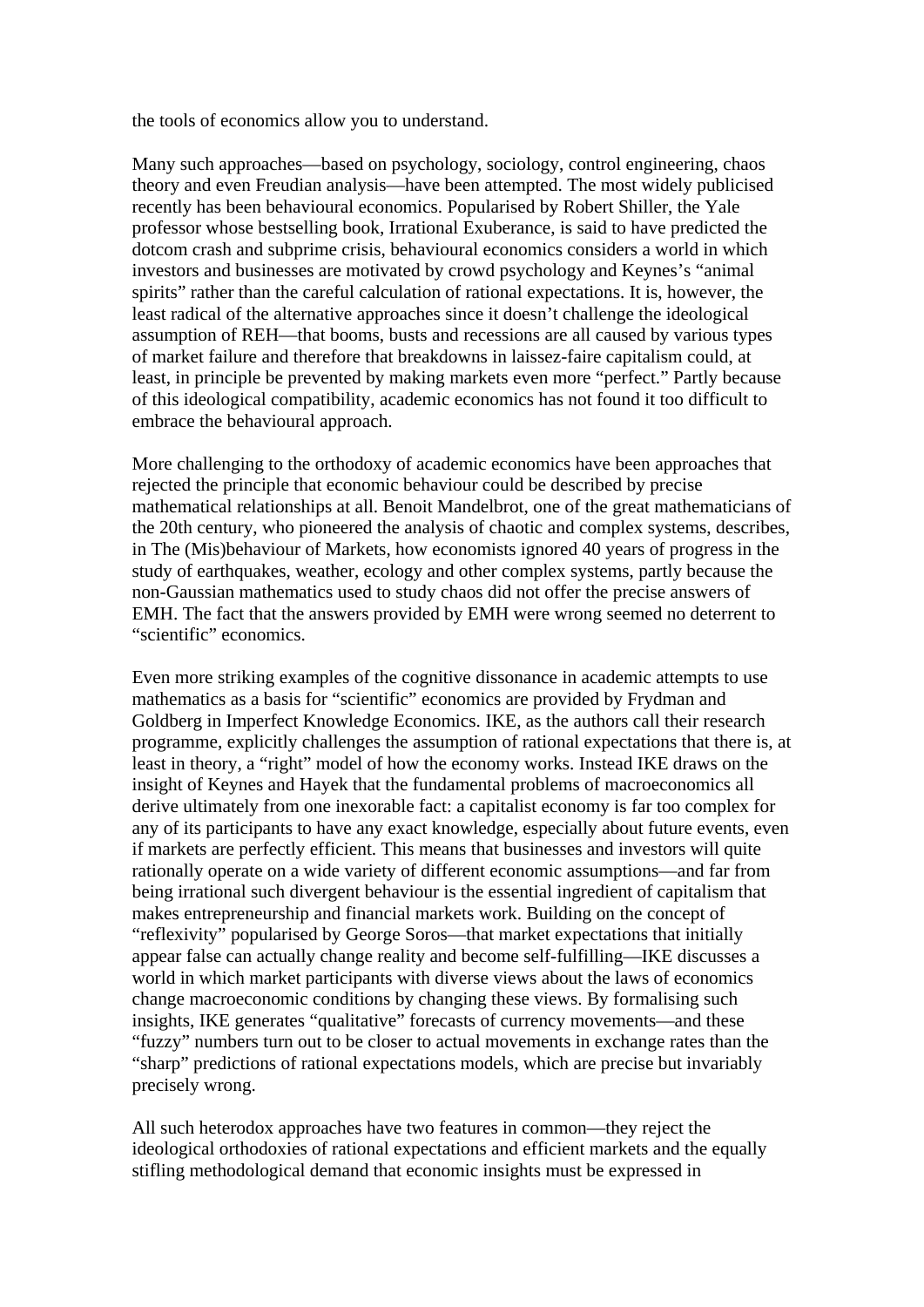the tools of economics allow you to understand.

Many such approaches—based on psychology, sociology, control engineering, chaos theory and even Freudian analysis—have been attempted. The most widely publicised recently has been behavioural economics. Popularised by Robert Shiller, the Yale professor whose bestselling book, Irrational Exuberance, is said to have predicted the dotcom crash and subprime crisis, behavioural economics considers a world in which investors and businesses are motivated by crowd psychology and Keynes's "animal spirits" rather than the careful calculation of rational expectations. It is, however, the least radical of the alternative approaches since it doesn't challenge the ideological assumption of REH—that booms, busts and recessions are all caused by various types of market failure and therefore that breakdowns in laissez-faire capitalism could, at least, in principle be prevented by making markets even more "perfect." Partly because of this ideological compatibility, academic economics has not found it too difficult to embrace the behavioural approach.

More challenging to the orthodoxy of academic economics have been approaches that rejected the principle that economic behaviour could be described by precise mathematical relationships at all. Benoit Mandelbrot, one of the great mathematicians of the 20th century, who pioneered the analysis of chaotic and complex systems, describes, in The (Mis)behaviour of Markets, how economists ignored 40 years of progress in the study of earthquakes, weather, ecology and other complex systems, partly because the non-Gaussian mathematics used to study chaos did not offer the precise answers of EMH. The fact that the answers provided by EMH were wrong seemed no deterrent to "scientific" economics.

Even more striking examples of the cognitive dissonance in academic attempts to use mathematics as a basis for "scientific" economics are provided by Frydman and Goldberg in Imperfect Knowledge Economics. IKE, as the authors call their research programme, explicitly challenges the assumption of rational expectations that there is, at least in theory, a "right" model of how the economy works. Instead IKE draws on the insight of Keynes and Hayek that the fundamental problems of macroeconomics all derive ultimately from one inexorable fact: a capitalist economy is far too complex for any of its participants to have any exact knowledge, especially about future events, even if markets are perfectly efficient. This means that businesses and investors will quite rationally operate on a wide variety of different economic assumptions—and far from being irrational such divergent behaviour is the essential ingredient of capitalism that makes entrepreneurship and financial markets work. Building on the concept of "reflexivity" popularised by George Soros—that market expectations that initially appear false can actually change reality and become self-fulfilling—IKE discusses a world in which market participants with diverse views about the laws of economics change macroeconomic conditions by changing these views. By formalising such insights, IKE generates "qualitative" forecasts of currency movements—and these "fuzzy" numbers turn out to be closer to actual movements in exchange rates than the "sharp" predictions of rational expectations models, which are precise but invariably precisely wrong.

All such heterodox approaches have two features in common—they reject the ideological orthodoxies of rational expectations and efficient markets and the equally stifling methodological demand that economic insights must be expressed in